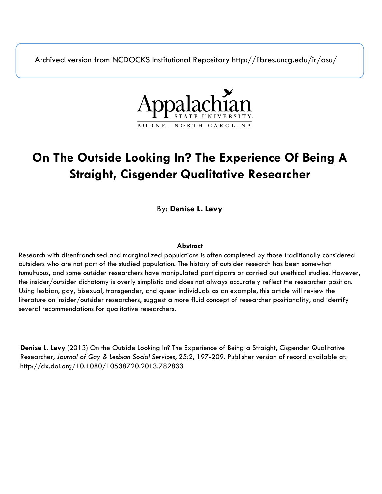Archived version from NCDOCKS Institutional Repository http://libres.uncg.edu/ir/asu/



# **On The Outside Looking In? The Experience Of Being A Straight, Cisgender Qualitative Researcher**

By: **Denise L. Levy**

#### **Abstract**

Research with disenfranchised and marginalized populations is often completed by those traditionally considered outsiders who are not part of the studied population. The history of outsider research has been somewhat tumultuous, and some outsider researchers have manipulated participants or carried out unethical studies. However, the insider/outsider dichotomy is overly simplistic and does not always accurately reflect the researcher position. Using lesbian, gay, bisexual, transgender, and queer individuals as an example, this article will review the literature on insider/outsider researchers, suggest a more fluid concept of researcher positionality, and identify several recommendations for qualitative researchers.

**Denise L. Levy** (2013) On the Outside Looking In? The Experience of Being a Straight, Cisgender Qualitative Researcher, *Journal of Gay & Lesbian Social Services*, 25:2, 197-209. Publisher version of record available at: http://dx.doi.org/10.1080/10538720.2013.782833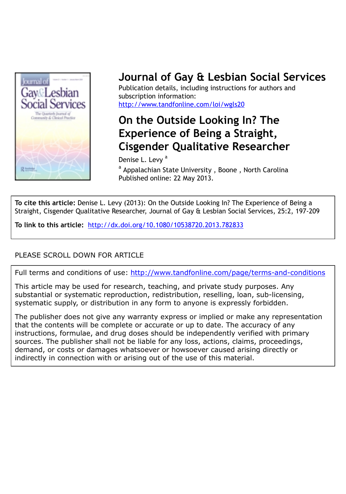

## **Journal of Gay & Lesbian Social Services**

Publication details, including instructions for authors and subscription information: <http://www.tandfonline.com/loi/wgls20>

## **On the Outside Looking In? The Experience of Being a Straight, Cisgender Qualitative Researcher**

Denise L. Levy<sup>a</sup>

<sup>a</sup> Appalachian State University , Boone , North Carolina Published online: 22 May 2013.

**To cite this article:** Denise L. Levy (2013): On the Outside Looking In? The Experience of Being a Straight, Cisgender Qualitative Researcher, Journal of Gay & Lesbian Social Services, 25:2, 197-209

**To link to this article:** <http://dx.doi.org/10.1080/10538720.2013.782833>

### PLEASE SCROLL DOWN FOR ARTICLE

Full terms and conditions of use:<http://www.tandfonline.com/page/terms-and-conditions>

This article may be used for research, teaching, and private study purposes. Any substantial or systematic reproduction, redistribution, reselling, loan, sub-licensing, systematic supply, or distribution in any form to anyone is expressly forbidden.

The publisher does not give any warranty express or implied or make any representation that the contents will be complete or accurate or up to date. The accuracy of any instructions, formulae, and drug doses should be independently verified with primary sources. The publisher shall not be liable for any loss, actions, claims, proceedings, demand, or costs or damages whatsoever or howsoever caused arising directly or indirectly in connection with or arising out of the use of this material.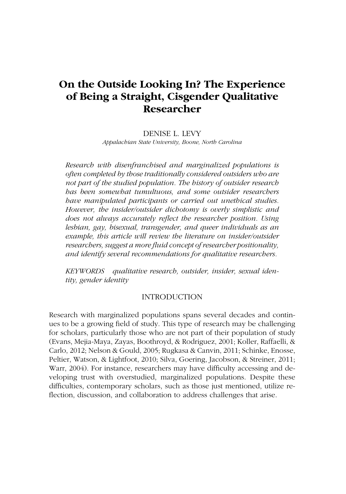### **On the Outside Looking In? The Experience of Being a Straight, Cisgender Qualitative Researcher**

DENISE L. LEVY

*Appalachian State University, Boone, North Carolina*

*Research with disenfranchised and marginalized populations is often completed by those traditionally considered outsiders who are not part of the studied population. The history of outsider research has been somewhat tumultuous, and some outsider researchers have manipulated participants or carried out unethical studies. However, the insider/outsider dichotomy is overly simplistic and does not always accurately reflect the researcher position. Using lesbian, gay, bisexual, transgender, and queer individuals as an example, this article will review the literature on insider/outsider researchers, suggest a more fluid concept of researcher positionality, and identify several recommendations for qualitative researchers.*

*KEYWORDS qualitative research, outsider, insider, sexual identity, gender identity*

#### INTRODUCTION

Research with marginalized populations spans several decades and continues to be a growing field of study. This type of research may be challenging for scholars, particularly those who are not part of their population of study (Evans, Mejia-Maya, Zayas, Boothroyd, & Rodriguez, 2001; Koller, Raffaelli, & Carlo, 2012; Nelson & Gould, 2005; Rugkasa & Canvin, 2011; Schinke, Enosse, Peltier, Watson, & Lightfoot, 2010; Silva, Goering, Jacobson, & Streiner, 2011; Warr, 2004). For instance, researchers may have difficulty accessing and developing trust with overstudied, marginalized populations. Despite these difficulties, contemporary scholars, such as those just mentioned, utilize reflection, discussion, and collaboration to address challenges that arise.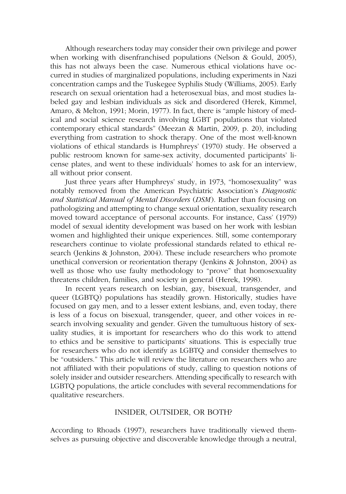Although researchers today may consider their own privilege and power when working with disenfranchised populations (Nelson & Gould, 2005), this has not always been the case. Numerous ethical violations have occurred in studies of marginalized populations, including experiments in Nazi concentration camps and the Tuskegee Syphilis Study (Williams, 2005). Early research on sexual orientation had a heterosexual bias, and most studies labeled gay and lesbian individuals as sick and disordered (Herek, Kimmel, Amaro, & Melton, 1991; Morin, 1977). In fact, there is "ample history of medical and social science research involving LGBT populations that violated contemporary ethical standards" (Meezan & Martin, 2009, p. 20), including everything from castration to shock therapy. One of the most well-known violations of ethical standards is Humphreys' (1970) study. He observed a public restroom known for same-sex activity, documented participants' license plates, and went to these individuals' homes to ask for an interview, all without prior consent.

Just three years after Humphreys' study, in 1973, "homosexuality" was notably removed from the American Psychiatric Association's *Diagnostic and Statistical Manual of Mental Disorders* (*DSM*). Rather than focusing on pathologizing and attempting to change sexual orientation, sexuality research moved toward acceptance of personal accounts. For instance, Cass' (1979) model of sexual identity development was based on her work with lesbian women and highlighted their unique experiences. Still, some contemporary researchers continue to violate professional standards related to ethical research (Jenkins & Johnston, 2004). These include researchers who promote unethical conversion or reorientation therapy (Jenkins & Johnston, 2004) as well as those who use faulty methodology to "prove" that homosexuality threatens children, families, and society in general (Herek, 1998).

In recent years research on lesbian, gay, bisexual, transgender, and queer (LGBTQ) populations has steadily grown. Historically, studies have focused on gay men, and to a lesser extent lesbians, and, even today, there is less of a focus on bisexual, transgender, queer, and other voices in research involving sexuality and gender. Given the tumultuous history of sexuality studies, it is important for researchers who do this work to attend to ethics and be sensitive to participants' situations. This is especially true for researchers who do not identify as LGBTQ and consider themselves to be "outsiders." This article will review the literature on researchers who are not affiliated with their populations of study, calling to question notions of solely insider and outsider researchers. Attending specifically to research with LGBTQ populations, the article concludes with several recommendations for qualitative researchers.

#### INSIDER, OUTSIDER, OR BOTH?

According to Rhoads (1997), researchers have traditionally viewed themselves as pursuing objective and discoverable knowledge through a neutral,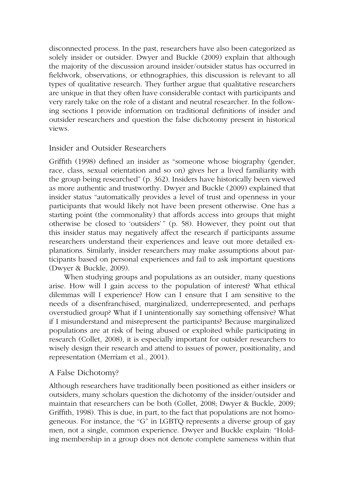disconnected process. In the past, researchers have also been categorized as solely insider or outsider. Dwyer and Buckle (2009) explain that although the majority of the discussion around insider/outsider status has occurred in fieldwork, observations, or ethnographies, this discussion is relevant to all types of qualitative research. They further argue that qualitative researchers are unique in that they often have considerable contact with participants and very rarely take on the role of a distant and neutral researcher. In the following sections I provide information on traditional definitions of insider and outsider researchers and question the false dichotomy present in historical views.

#### Insider and Outsider Researchers

Griffith (1998) defined an insider as "someone whose biography (gender, race, class, sexual orientation and so on) gives her a lived familiarity with the group being researched" (p. 362). Insiders have historically been viewed as more authentic and trustworthy. Dwyer and Buckle (2009) explained that insider status "automatically provides a level of trust and openness in your participants that would likely not have been present otherwise. One has a starting point (the commonality) that affords access into groups that might otherwise be closed to 'outsiders'" (p. 58). However, they point out that this insider status may negatively affect the research if participants assume researchers understand their experiences and leave out more detailed explanations. Similarly, insider researchers may make assumptions about participants based on personal experiences and fail to ask important questions (Dwyer & Buckle, 2009).

When studying groups and populations as an outsider, many questions arise. How will I gain access to the population of interest? What ethical dilemmas will I experience? How can I ensure that I am sensitive to the needs of a disenfranchised, marginalized, underrepresented, and perhaps overstudied group? What if I unintentionally say something offensive? What if I misunderstand and misrepresent the participants? Because marginalized populations are at risk of being abused or exploited while participating in research (Collet, 2008), it is especially important for outsider researchers to wisely design their research and attend to issues of power, positionality, and representation (Merriam et al., 2001).

#### A False Dichotomy?

Although researchers have traditionally been positioned as either insiders or outsiders, many scholars question the dichotomy of the insider/outsider and maintain that researchers can be both (Collet, 2008; Dwyer & Buckle, 2009; Griffith, 1998). This is due, in part, to the fact that populations are not homogeneous. For instance, the "G" in LGBTQ represents a diverse group of gay men, not a single, common experience. Dwyer and Buckle explain: "Holding membership in a group does not denote complete sameness within that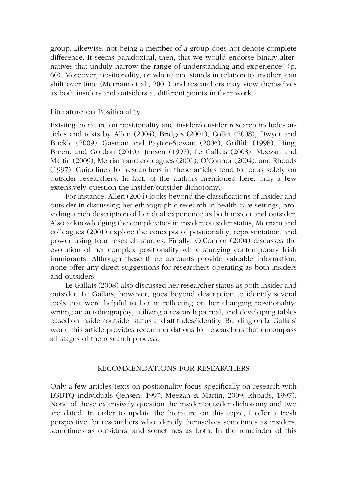group. Likewise, not being a member of a group does not denote complete difference. It seems paradoxical, then, that we would endorse binary alternatives that unduly narrow the range of understanding and experience" (p. 60). Moreover, positionality, or where one stands in relation to another, can shift over time (Merriam et al., 2001) and researchers may view themselves as both insiders and outsiders at different points in their work.

#### Literature on Positionality

Existing literature on positionality and insider/outsider research includes articles and texts by Allen (2004), Bridges (2001), Collet (2008), Dwyer and Buckle (2009), Gasman and Payton-Stewart (2006), Griffith (1998), Hing, Breen, and Gordon (2010), Jensen (1997), Le Gallais (2008), Meezan and Martin (2009), Merriam and colleagues (2001), O'Connor (2004), and Rhoads (1997). Guidelines for researchers in these articles tend to focus solely on outsider researchers. In fact, of the authors mentioned here, only a few extensively question the insider/outsider dichotomy.

For instance, Allen (2004) looks beyond the classifications of insider and outsider in discussing her ethnographic research in health care settings, providing a rich description of her dual experience as both insider and outsider. Also acknowledging the complexities in insider/outsider status, Merriam and colleagues (2001) explore the concepts of positionality, representation, and power using four research studies. Finally, O'Connor (2004) discusses the evolution of her complex positionality while studying contemporary Irish immigrants. Although these three accounts provide valuable information, none offer any direct suggestions for researchers operating as both insiders and outsiders.

Le Gallais (2008) also discussed her researcher status as both insider and outsider. Le Gallais, however, goes beyond description to identify several tools that were helpful to her in reflecting on her changing positionality: writing an autobiography, utilizing a research journal, and developing tables based on insider/outsider status and attitudes/identity. Building on Le Gallais' work, this article provides recommendations for researchers that encompass all stages of the research process.

#### RECOMMENDATIONS FOR RESEARCHERS

Only a few articles/texts on positionality focus specifically on research with LGBTQ individuals (Jensen, 1997; Meezan & Martin, 2009; Rhoads, 1997). None of these extensively question the insider/outsider dichotomy and two are dated. In order to update the literature on this topic, I offer a fresh perspective for researchers who identify themselves sometimes as insiders, sometimes as outsiders, and sometimes as both. In the remainder of this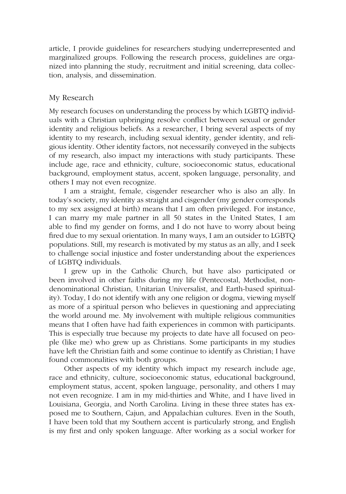article, I provide guidelines for researchers studying underrepresented and marginalized groups. Following the research process, guidelines are organized into planning the study, recruitment and initial screening, data collection, analysis, and dissemination.

#### My Research

My research focuses on understanding the process by which LGBTQ individuals with a Christian upbringing resolve conflict between sexual or gender identity and religious beliefs. As a researcher, I bring several aspects of my identity to my research, including sexual identity, gender identity, and religious identity. Other identity factors, not necessarily conveyed in the subjects of my research, also impact my interactions with study participants. These include age, race and ethnicity, culture, socioeconomic status, educational background, employment status, accent, spoken language, personality, and others I may not even recognize.

I am a straight, female, cisgender researcher who is also an ally. In today's society, my identity as straight and cisgender (my gender corresponds to my sex assigned at birth) means that I am often privileged. For instance, I can marry my male partner in all 50 states in the United States, I am able to find my gender on forms, and I do not have to worry about being fired due to my sexual orientation. In many ways, I am an outsider to LGBTQ populations. Still, my research is motivated by my status as an ally, and I seek to challenge social injustice and foster understanding about the experiences of LGBTQ individuals.

I grew up in the Catholic Church, but have also participated or been involved in other faiths during my life (Pentecostal, Methodist, nondenominational Christian, Unitarian Universalist, and Earth-based spirituality). Today, I do not identify with any one religion or dogma, viewing myself as more of a spiritual person who believes in questioning and appreciating the world around me. My involvement with multiple religious communities means that I often have had faith experiences in common with participants. This is especially true because my projects to date have all focused on people (like me) who grew up as Christians. Some participants in my studies have left the Christian faith and some continue to identify as Christian; I have found commonalities with both groups.

Other aspects of my identity which impact my research include age, race and ethnicity, culture, socioeconomic status, educational background, employment status, accent, spoken language, personality, and others I may not even recognize. I am in my mid-thirties and White, and I have lived in Louisiana, Georgia, and North Carolina. Living in these three states has exposed me to Southern, Cajun, and Appalachian cultures. Even in the South, I have been told that my Southern accent is particularly strong, and English is my first and only spoken language. After working as a social worker for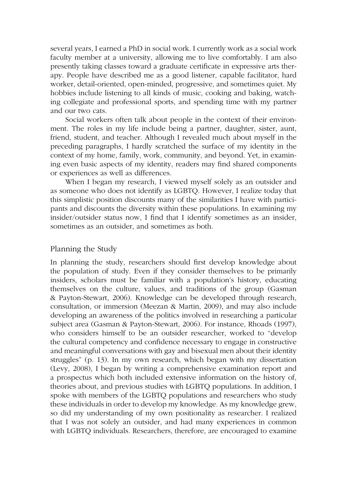several years, I earned a PhD in social work. I currently work as a social work faculty member at a university, allowing me to live comfortably. I am also presently taking classes toward a graduate certificate in expressive arts therapy. People have described me as a good listener, capable facilitator, hard worker, detail-oriented, open-minded, progressive, and sometimes quiet. My hobbies include listening to all kinds of music, cooking and baking, watching collegiate and professional sports, and spending time with my partner and our two cats.

Social workers often talk about people in the context of their environment. The roles in my life include being a partner, daughter, sister, aunt, friend, student, and teacher. Although I revealed much about myself in the preceding paragraphs, I hardly scratched the surface of my identity in the context of my home, family, work, community, and beyond. Yet, in examining even basic aspects of my identity, readers may find shared components or experiences as well as differences.

When I began my research, I viewed myself solely as an outsider and as someone who does not identify as LGBTQ. However, I realize today that this simplistic position discounts many of the similarities I have with participants and discounts the diversity within these populations. In examining my insider/outsider status now, I find that I identify sometimes as an insider, sometimes as an outsider, and sometimes as both.

#### Planning the Study

In planning the study, researchers should first develop knowledge about the population of study. Even if they consider themselves to be primarily insiders, scholars must be familiar with a population's history, educating themselves on the culture, values, and traditions of the group (Gasman & Payton-Stewart, 2006). Knowledge can be developed through research, consultation, or immersion (Meezan & Martin, 2009), and may also include developing an awareness of the politics involved in researching a particular subject area (Gasman & Payton-Stewart, 2006). For instance, Rhoads (1997), who considers himself to be an outsider researcher, worked to "develop the cultural competency and confidence necessary to engage in constructive and meaningful conversations with gay and bisexual men about their identity struggles" (p. 13). In my own research, which began with my dissertation (Levy, 2008), I began by writing a comprehensive examination report and a prospectus which both included extensive information on the history of, theories about, and previous studies with LGBTQ populations. In addition, I spoke with members of the LGBTQ populations and researchers who study these individuals in order to develop my knowledge. As my knowledge grew, so did my understanding of my own positionality as researcher. I realized that I was not solely an outsider, and had many experiences in common with LGBTQ individuals. Researchers, therefore, are encouraged to examine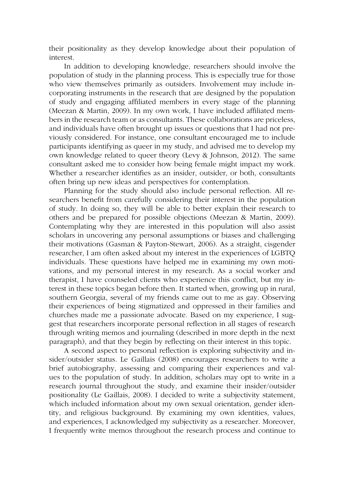their positionality as they develop knowledge about their population of interest.

In addition to developing knowledge, researchers should involve the population of study in the planning process. This is especially true for those who view themselves primarily as outsiders. Involvement may include incorporating instruments in the research that are designed by the population of study and engaging affiliated members in every stage of the planning (Meezan & Martin, 2009). In my own work, I have included affiliated members in the research team or as consultants. These collaborations are priceless, and individuals have often brought up issues or questions that I had not previously considered. For instance, one consultant encouraged me to include participants identifying as queer in my study, and advised me to develop my own knowledge related to queer theory (Levy & Johnson, 2012). The same consultant asked me to consider how being female might impact my work. Whether a researcher identifies as an insider, outsider, or both, consultants often bring up new ideas and perspectives for contemplation.

Planning for the study should also include personal reflection. All researchers benefit from carefully considering their interest in the population of study. In doing so, they will be able to better explain their research to others and be prepared for possible objections (Meezan & Martin, 2009). Contemplating why they are interested in this population will also assist scholars in uncovering any personal assumptions or biases and challenging their motivations (Gasman & Payton-Stewart, 2006). As a straight, cisgender researcher, I am often asked about my interest in the experiences of LGBTQ individuals. These questions have helped me in examining my own motivations, and my personal interest in my research. As a social worker and therapist, I have counseled clients who experience this conflict, but my interest in these topics began before then. It started when, growing up in rural, southern Georgia, several of my friends came out to me as gay. Observing their experiences of being stigmatized and oppressed in their families and churches made me a passionate advocate. Based on my experience, I suggest that researchers incorporate personal reflection in all stages of research through writing memos and journaling (described in more depth in the next paragraph), and that they begin by reflecting on their interest in this topic.

A second aspect to personal reflection is exploring subjectivity and insider/outsider status. Le Gaillais (2008) encourages researchers to write a brief autobiography, assessing and comparing their experiences and values to the population of study. In addition, scholars may opt to write in a research journal throughout the study, and examine their insider/outsider positionality (Le Gaillais, 2008). I decided to write a subjectivity statement, which included information about my own sexual orientation, gender identity, and religious background. By examining my own identities, values, and experiences, I acknowledged my subjectivity as a researcher. Moreover, I frequently write memos throughout the research process and continue to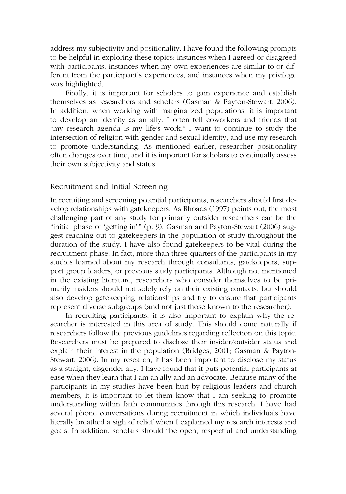address my subjectivity and positionality. I have found the following prompts to be helpful in exploring these topics: instances when I agreed or disagreed with participants, instances when my own experiences are similar to or different from the participant's experiences, and instances when my privilege was highlighted.

Finally, it is important for scholars to gain experience and establish themselves as researchers and scholars (Gasman & Payton-Stewart, 2006). In addition, when working with marginalized populations, it is important to develop an identity as an ally. I often tell coworkers and friends that "my research agenda is my life's work." I want to continue to study the intersection of religion with gender and sexual identity, and use my research to promote understanding. As mentioned earlier, researcher positionality often changes over time, and it is important for scholars to continually assess their own subjectivity and status.

#### Recruitment and Initial Screening

In recruiting and screening potential participants, researchers should first develop relationships with gatekeepers. As Rhoads (1997) points out, the most challenging part of any study for primarily outsider researchers can be the "initial phase of 'getting in'" (p. 9). Gasman and Payton-Stewart (2006) suggest reaching out to gatekeepers in the population of study throughout the duration of the study. I have also found gatekeepers to be vital during the recruitment phase. In fact, more than three-quarters of the participants in my studies learned about my research through consultants, gatekeepers, support group leaders, or previous study participants. Although not mentioned in the existing literature, researchers who consider themselves to be primarily insiders should not solely rely on their existing contacts, but should also develop gatekeeping relationships and try to ensure that participants represent diverse subgroups (and not just those known to the researcher).

In recruiting participants, it is also important to explain why the researcher is interested in this area of study. This should come naturally if researchers follow the previous guidelines regarding reflection on this topic. Researchers must be prepared to disclose their insider/outsider status and explain their interest in the population (Bridges, 2001; Gasman & Payton-Stewart, 2006). In my research, it has been important to disclose my status as a straight, cisgender ally. I have found that it puts potential participants at ease when they learn that I am an ally and an advocate. Because many of the participants in my studies have been hurt by religious leaders and church members, it is important to let them know that I am seeking to promote understanding within faith communities through this research. I have had several phone conversations during recruitment in which individuals have literally breathed a sigh of relief when I explained my research interests and goals. In addition, scholars should "be open, respectful and understanding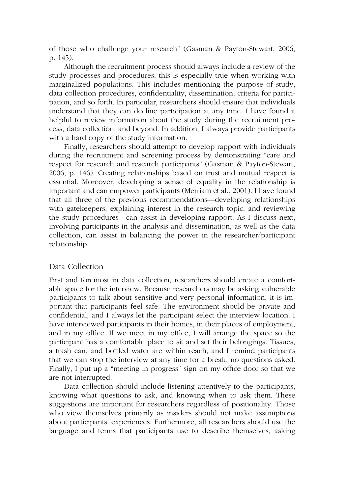of those who challenge your research" (Gasman & Payton-Stewart, 2006, p. 145).

Although the recruitment process should always include a review of the study processes and procedures, this is especially true when working with marginalized populations. This includes mentioning the purpose of study, data collection procedures, confidentiality, dissemination, criteria for participation, and so forth. In particular, researchers should ensure that individuals understand that they can decline participation at any time. I have found it helpful to review information about the study during the recruitment process, data collection, and beyond. In addition, I always provide participants with a hard copy of the study information.

Finally, researchers should attempt to develop rapport with individuals during the recruitment and screening process by demonstrating "care and respect for research and research participants" (Gasman & Payton-Stewart, 2006, p. 146). Creating relationships based on trust and mutual respect is essential. Moreover, developing a sense of equality in the relationship is important and can empower participants (Merriam et al., 2001). I have found that all three of the previous recommendations—developing relationships with gatekeepers, explaining interest in the research topic, and reviewing the study procedures—can assist in developing rapport. As I discuss next, involving participants in the analysis and dissemination, as well as the data collection, can assist in balancing the power in the researcher/participant relationship.

#### Data Collection

First and foremost in data collection, researchers should create a comfortable space for the interview. Because researchers may be asking vulnerable participants to talk about sensitive and very personal information, it is important that participants feel safe. The environment should be private and confidential, and I always let the participant select the interview location. I have interviewed participants in their homes, in their places of employment, and in my office. If we meet in my office, I will arrange the space so the participant has a comfortable place to sit and set their belongings. Tissues, a trash can, and bottled water are within reach, and I remind participants that we can stop the interview at any time for a break, no questions asked. Finally, I put up a "meeting in progress" sign on my office door so that we are not interrupted.

Data collection should include listening attentively to the participants, knowing what questions to ask, and knowing when to ask them. These suggestions are important for researchers regardless of positionality. Those who view themselves primarily as insiders should not make assumptions about participants' experiences. Furthermore, all researchers should use the language and terms that participants use to describe themselves, asking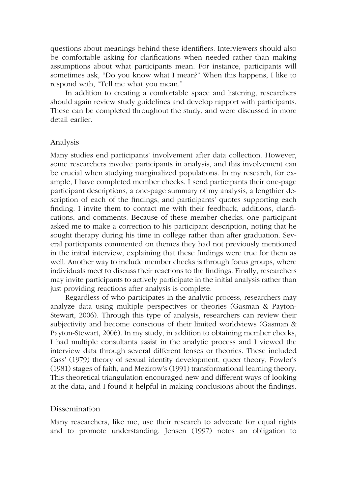questions about meanings behind these identifiers. Interviewers should also be comfortable asking for clarifications when needed rather than making assumptions about what participants mean. For instance, participants will sometimes ask, "Do you know what I mean?" When this happens, I like to respond with, "Tell me what you mean."

In addition to creating a comfortable space and listening, researchers should again review study guidelines and develop rapport with participants. These can be completed throughout the study, and were discussed in more detail earlier.

#### Analysis

Many studies end participants' involvement after data collection. However, some researchers involve participants in analysis, and this involvement can be crucial when studying marginalized populations. In my research, for example, I have completed member checks. I send participants their one-page participant descriptions, a one-page summary of my analysis, a lengthier description of each of the findings, and participants' quotes supporting each finding. I invite them to contact me with their feedback, additions, clarifications, and comments. Because of these member checks, one participant asked me to make a correction to his participant description, noting that he sought therapy during his time in college rather than after graduation. Several participants commented on themes they had not previously mentioned in the initial interview, explaining that these findings were true for them as well. Another way to include member checks is through focus groups, where individuals meet to discuss their reactions to the findings. Finally, researchers may invite participants to actively participate in the initial analysis rather than just providing reactions after analysis is complete.

Regardless of who participates in the analytic process, researchers may analyze data using multiple perspectives or theories (Gasman & Payton-Stewart, 2006). Through this type of analysis, researchers can review their subjectivity and become conscious of their limited worldviews (Gasman & Payton-Stewart, 2006). In my study, in addition to obtaining member checks, I had multiple consultants assist in the analytic process and I viewed the interview data through several different lenses or theories. These included Cass' (1979) theory of sexual identity development, queer theory, Fowler's (1981) stages of faith, and Mezirow's (1991) transformational learning theory. This theoretical triangulation encouraged new and different ways of looking at the data, and I found it helpful in making conclusions about the findings.

#### Dissemination

Many researchers, like me, use their research to advocate for equal rights and to promote understanding. Jensen (1997) notes an obligation to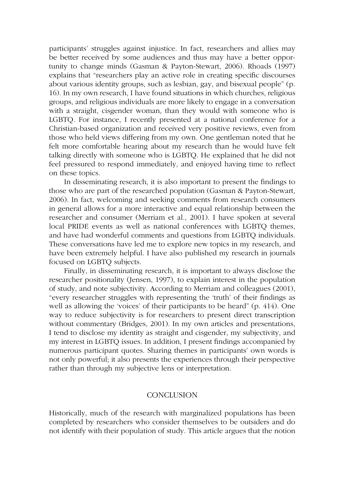participants' struggles against injustice. In fact, researchers and allies may be better received by some audiences and thus may have a better opportunity to change minds (Gasman & Payton-Stewart, 2006). Rhoads (1997) explains that "researchers play an active role in creating specific discourses about various identity groups, such as lesbian, gay, and bisexual people" (p. 16). In my own research, I have found situations in which churches, religious groups, and religious individuals are more likely to engage in a conversation with a straight, cisgender woman, than they would with someone who is LGBTQ. For instance, I recently presented at a national conference for a Christian-based organization and received very positive reviews, even from those who held views differing from my own. One gentleman noted that he felt more comfortable hearing about my research than he would have felt talking directly with someone who is LGBTQ. He explained that he did not feel pressured to respond immediately, and enjoyed having time to reflect on these topics.

In disseminating research, it is also important to present the findings to those who are part of the researched population (Gasman & Payton-Stewart, 2006). In fact, welcoming and seeking comments from research consumers in general allows for a more interactive and equal relationship between the researcher and consumer (Merriam et al., 2001). I have spoken at several local PRIDE events as well as national conferences with LGBTQ themes, and have had wonderful comments and questions from LGBTQ individuals. These conversations have led me to explore new topics in my research, and have been extremely helpful. I have also published my research in journals focused on LGBTQ subjects.

Finally, in disseminating research, it is important to always disclose the researcher positionality (Jensen, 1997), to explain interest in the population of study, and note subjectivity. According to Merriam and colleagues (2001), "every researcher struggles with representing the 'truth' of their findings as well as allowing the 'voices' of their participants to be heard" (p. 414). One way to reduce subjectivity is for researchers to present direct transcription without commentary (Bridges, 2001). In my own articles and presentations, I tend to disclose my identity as straight and cisgender, my subjectivity, and my interest in LGBTQ issues. In addition, I present findings accompanied by numerous participant quotes. Sharing themes in participants' own words is not only powerful; it also presents the experiences through their perspective rather than through my subjective lens or interpretation.

#### **CONCLUSION**

Historically, much of the research with marginalized populations has been completed by researchers who consider themselves to be outsiders and do not identify with their population of study. This article argues that the notion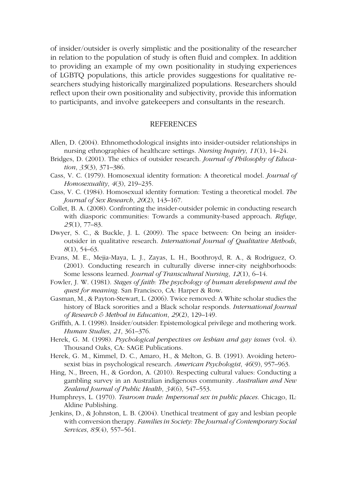of insider/outsider is overly simplistic and the positionality of the researcher in relation to the population of study is often fluid and complex. In addition to providing an example of my own positionality in studying experiences of LGBTQ populations, this article provides suggestions for qualitative researchers studying historically marginalized populations. Researchers should reflect upon their own positionality and subjectivity, provide this information to participants, and involve gatekeepers and consultants in the research.

#### **REFERENCES**

- Allen, D. (2004). Ethnomethodological insights into insider-outsider relationships in nursing ethnographies of healthcare settings. *Nursing Inquiry*, *11*(1), 14–24.
- Bridges, D. (2001). The ethics of outsider research. *Journal of Philosophy of Education*, *35*(3), 371–386.
- Cass, V. C. (1979). Homosexual identity formation: A theoretical model. *Journal of Homosexuality*, *4*(3), 219–235.
- Cass, V. C. (1984). Homosexual identity formation: Testing a theoretical model. *The Journal of Sex Research*, *20*(2), 143–167.
- Collet, B. A. (2008). Confronting the insider-outsider polemic in conducting research with diasporic communities: Towards a community-based approach. *Refuge*, *25*(1), 77–83.
- Dwyer, S. C., & Buckle, J. L. (2009). The space between: On being an insideroutsider in qualitative research. *International Journal of Qualitative Methods*, *8*(1), 54–63.
- Evans, M. E., Mejia-Maya, L. J., Zayas, L. H., Boothroyd, R. A., & Rodriguez, O. (2001). Conducting research in culturally diverse inner-city neighborhoods: Some lessons learned. *Journal of Transcultural Nursing*, *12*(1), 6–14.
- Fowler, J. W. (1981). *Stages of faith: The psychology of human development and the quest for meaning*. San Francisco, CA: Harper & Row.
- Gasman, M., & Payton-Stewart, L. (2006). Twice removed: A White scholar studies the history of Black sororities and a Black scholar responds. *International Journal of Research & Method in Education*, *29*(2), 129–149.
- Griffith, A. I. (1998). Insider/outsider: Epistemological privilege and mothering work. *Human Studies*, *21*, 361–376.
- Herek, G. M. (1998). *Psychological perspectives on lesbian and gay issues* (vol. 4). Thousand Oaks, CA: SAGE Publications.
- Herek, G. M., Kimmel, D. C., Amaro, H., & Melton, G. B. (1991). Avoiding heterosexist bias in psychological research. *American Psychologist*, *46*(9), 957–963.
- Hing, N., Breen, H., & Gordon, A. (2010). Respecting cultural values: Conducting a gambling survey in an Australian indigenous community. *Australian and New Zealand Journal of Public Health*, *34*(6), 547–553.
- Humphreys, L. (1970). *Tearoom trade: Impersonal sex in public places*. Chicago, IL: Aldine Publishing.
- Jenkins, D., & Johnston, L. B. (2004). Unethical treatment of gay and lesbian people with conversion therapy. *Families in Society: The Journal of Contemporary Social Services*, *85*(4), 557–561.